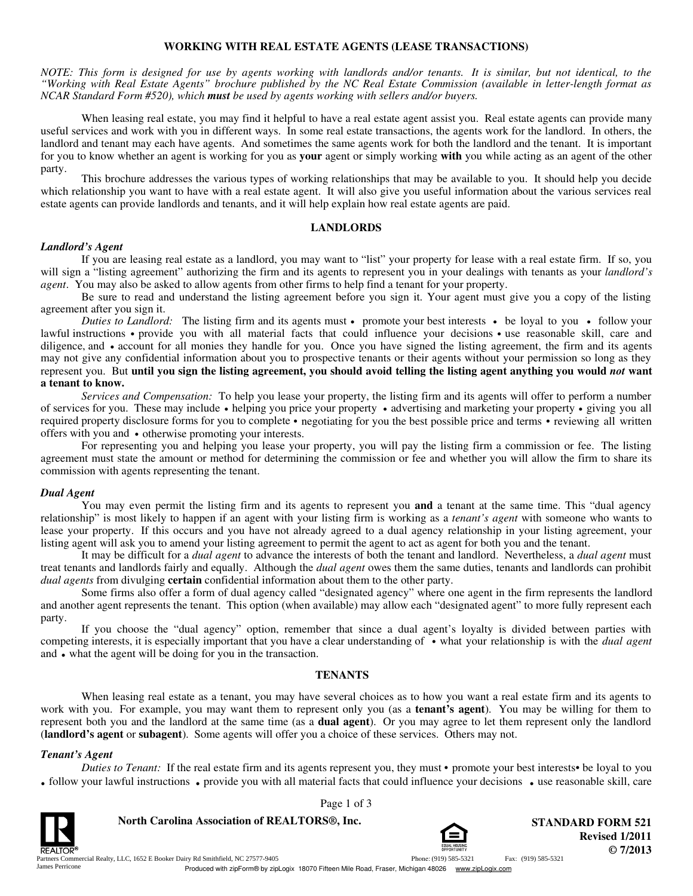## **WORKING WITH REAL ESTATE AGENTS (LEASE TRANSACTIONS)**

*NOTE: This form is designed for use by agents working with landlords and/or tenants. It is similar, but not identical, to the "Working with Real Estate Agents" brochure published by the NC Real Estate Commission (available in letter-length format as NCAR Standard Form #520), which must be used by agents working with sellers and/or buyers.*

When leasing real estate, you may find it helpful to have a real estate agent assist you. Real estate agents can provide many useful services and work with you in different ways. In some real estate transactions, the agents work for the landlord. In others, the landlord and tenant may each have agents. And sometimes the same agents work for both the landlord and the tenant. It is important for you to know whether an agent is working for you as **your** agent or simply working **with** you while acting as an agent of the other party.

This brochure addresses the various types of working relationships that may be available to you. It should help you decide which relationship you want to have with a real estate agent. It will also give you useful information about the various services real estate agents can provide landlords and tenants, and it will help explain how real estate agents are paid.

#### **LANDLORDS**

#### *Landlord's Agent*

If you are leasing real estate as a landlord, you may want to "list" your property for lease with a real estate firm. If so, you will sign a "listing agreement" authorizing the firm and its agents to represent you in your dealings with tenants as your *landlord's agent*. You may also be asked to allow agents from other firms to help find a tenant for your property.

Be sure to read and understand the listing agreement before you sign it. Your agent must give you a copy of the listing agreement after you sign it.

*Duties to Landlord:* The listing firm and its agents must • promote your best interests • be loyal to you • follow your lawful instructions • provide you with all material facts that could influence your decisions • use reasonable skill, care and diligence, and • account for all monies they handle for you. Once you have signed the listing agreement, the firm and its agents may not give any confidential information about you to prospective tenants or their agents without your permission so long as they represent you. But **until you sign the listing agreement, you should avoid telling the listing agent anything you would** *not* **want a tenant to know.**

*Services and Compensation:* To help you lease your property, the listing firm and its agents will offer to perform a number of services for you. These may include **·** helping you price your property **·** advertising and marketing your property **·** giving you all required property disclosure forms for you to complete • negotiating for you the best possible price and terms • reviewing all written offers with you and  $\bullet$  otherwise promoting your interests.

For representing you and helping you lease your property, you will pay the listing firm a commission or fee. The listing agreement must state the amount or method for determining the commission or fee and whether you will allow the firm to share its commission with agents representing the tenant.

#### *Dual Agent*

You may even permit the listing firm and its agents to represent you **and** a tenant at the same time. This "dual agency relationship" is most likely to happen if an agent with your listing firm is working as a *tenant's agent* with someone who wants to lease your property. If this occurs and you have not already agreed to a dual agency relationship in your listing agreement, your listing agent will ask you to amend your listing agreement to permit the agent to act as agent for both you and the tenant.

It may be difficult for a *dual agent* to advance the interests of both the tenant and landlord. Nevertheless, a *dual agent* must treat tenants and landlords fairly and equally. Although the *dual agent* owes them the same duties, tenants and landlords can prohibit *dual agents* from divulging **certain** confidential information about them to the other party.

Some firms also offer a form of dual agency called "designated agency" where one agent in the firm represents the landlord and another agent represents the tenant. This option (when available) may allow each "designated agent" to more fully represent each party.

If you choose the "dual agency" option, remember that since a dual agent's loyalty is divided between parties with competing interests, it is especially important that you have a clear understanding of **·** what your relationship is with the *dual agent* and • what the agent will be doing for you in the transaction.

#### **TENANTS**

When leasing real estate as a tenant, you may have several choices as to how you want a real estate firm and its agents to work with you. For example, you may want them to represent only you (as a **tenant's agent**). You may be willing for them to represent both you and the landlord at the same time (as a **dual agent**). Or you may agree to let them represent only the landlord (**landlord's agent** or **subagent**). Some agents will offer you a choice of these services. Others may not.

#### *Tenant's Agent*

*Duties to Tenant:* If the real estate firm and its agents represent you, they must • promote your best interests • be loyal to you • follow your lawful instructions • provide you with all material facts that could influence your decisions • use reasonable skill, care

Page 1 of 3

**North Carolina Association of REALTORS®, Inc. STANDARD FORM 521** 



**© 7/2013 Revised 1/2011**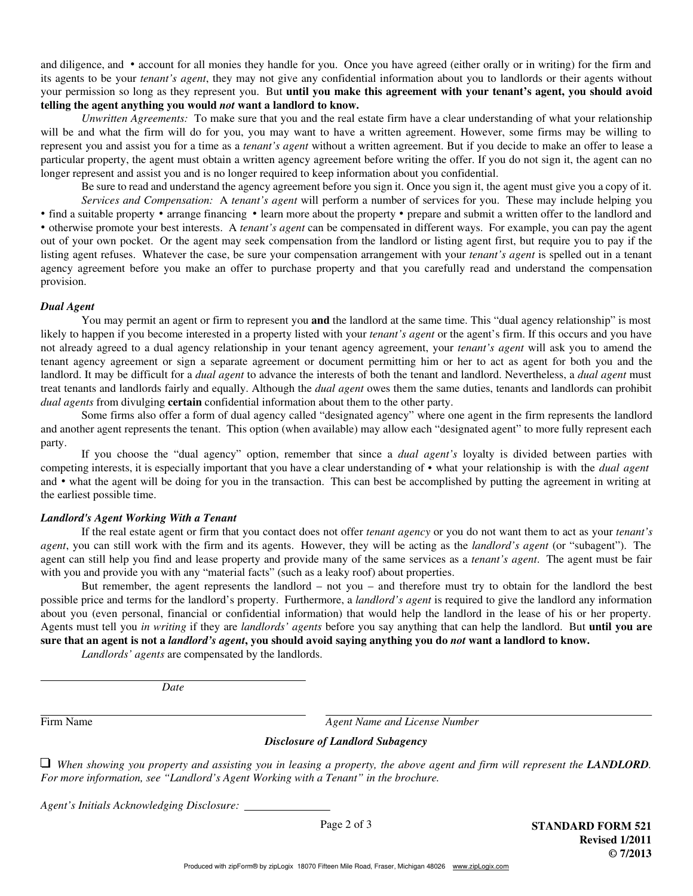its agents to be your *tenant's agent*, they may not give any confidential information about you to landlords or their agents without your permission so long as they represent you. But **until you make this agreement with your tenant's agent, you should avoid telling the agent anything you would** *not* **want a landlord to know.** and diligence, and **·** account for all monies they handle for you. Once you have agreed (either orally or in writing) for the firm and

*Unwritten Agreements:* To make sure that you and the real estate firm have a clear understanding of what your relationship will be and what the firm will do for you, you may want to have a written agreement. However, some firms may be willing to represent you and assist you for a time as a *tenant's agent* without a written agreement. But if you decide to make an offer to lease a particular property, the agent must obtain a written agency agreement before writing the offer. If you do not sign it, the agent can no longer represent and assist you and is no longer required to keep information about you confidential.

Be sure to read and understand the agency agreement before you sign it. Once you sign it, the agent must give you a copy of it. *Services and Compensation:* A *tenant's agent* will perform a number of services for you. These may include helping you • find a suitable property • arrange financing • learn more about the property • prepare and submit a written offer to the landlord and **·** otherwise promote your best interests. A *tenant's agent* can be compensated in different ways. For example, you can pay the agent out of your own pocket. Or the agent may seek compensation from the landlord or listing agent first, but require you to pay if the listing agent refuses. Whatever the case, be sure your compensation arrangement with your *tenant's agent* is spelled out in a tenant agency agreement before you make an offer to purchase property and that you carefully read and understand the compensation provision.

#### *Dual Agent*

You may permit an agent or firm to represent you **and** the landlord at the same time. This "dual agency relationship" is most likely to happen if you become interested in a property listed with your *tenant's agent* or the agent's firm. If this occurs and you have not already agreed to a dual agency relationship in your tenant agency agreement, your *tenant's agent* will ask you to amend the tenant agency agreement or sign a separate agreement or document permitting him or her to act as agent for both you and the landlord. It may be difficult for a *dual agent* to advance the interests of both the tenant and landlord. Nevertheless, a *dual agent* must treat tenants and landlords fairly and equally. Although the *dual agent* owes them the same duties, tenants and landlords can prohibit *dual agents* from divulging **certain** confidential information about them to the other party.

Some firms also offer a form of dual agency called "designated agency" where one agent in the firm represents the landlord and another agent represents the tenant. This option (when available) may allow each "designated agent" to more fully represent each party.

If you choose the "dual agency" option, remember that since a *dual agent's* loyalty is divided between parties with competing interests, it is especially important that you have a clear understanding of **·** what your relationship is with the *dual agent*  and **·** what the agent will be doing for you in the transaction. This can best be accomplished by putting the agreement in writing at the earliest possible time.

## *Landlord's Agent Working With a Tenant*

If the real estate agent or firm that you contact does not offer *tenant agency* or you do not want them to act as your *tenant's agent*, you can still work with the firm and its agents. However, they will be acting as the *landlord's agent* (or "subagent"). The agent can still help you find and lease property and provide many of the same services as a *tenant's agent*. The agent must be fair with you and provide you with any "material facts" (such as a leaky roof) about properties.

But remember, the agent represents the landlord – not you – and therefore must try to obtain for the landlord the best possible price and terms for the landlord's property. Furthermore, a *landlord's agent* is required to give the landlord any information about you (even personal, financial or confidential information) that would help the landlord in the lease of his or her property. Agents must tell you *in writing* if they are *landlords' agents* before you say anything that can help the landlord. But **until you are sure that an agent is not a** *landlord's agent***, you should avoid saying anything you do** *not* **want a landlord to know.**

*Landlords' agents* are compensated by the landlords.

*Date*

Firm Name *Agent Name and License Number*

# *Disclosure of Landlord Subagency*

 $\Box$  When showing you property and assisting you in leasing a property, the above agent and firm will represent the *LANDLORD*. *For more information, see "Landlord's Agent Working with a Tenant" in the brochure.*

*Agent's Initials Acknowledging Disclosure:*

Page 2 of 3 **STANDARD FORM 521 Revised 1/2011 © 7/2013**